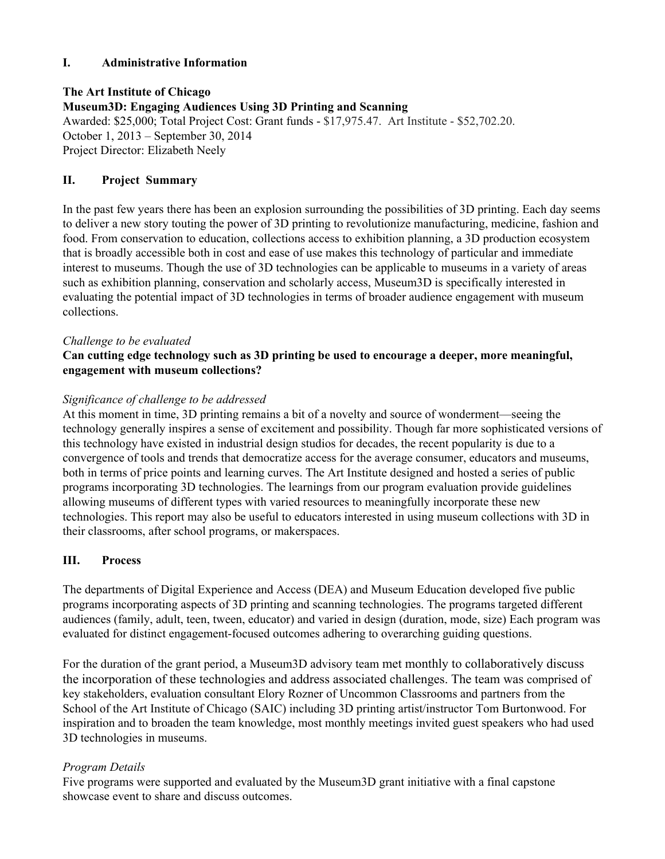## **I. Administrative Information**

**The Art Institute of Chicago Museum3D: Engaging Audiences Using 3D Printing and Scanning** Awarded: \$25,000; Total Project Cost: Grant funds - \$17,975.47. Art Institute - \$52,702.20. October 1, 2013 – September 30, 2014 Project Director: Elizabeth Neely

## **II. Project Summary**

In the past few years there has been an explosion surrounding the possibilities of 3D printing. Each day seems to deliver a new story touting the power of 3D printing to revolutionize manufacturing, medicine, fashion and food. From conservation to education, collections access to exhibition planning, a 3D production ecosystem that is broadly accessible both in cost and ease of use makes this technology of particular and immediate interest to museums. Though the use of 3D technologies can be applicable to museums in a variety of areas such as exhibition planning, conservation and scholarly access, Museum3D is specifically interested in evaluating the potential impact of 3D technologies in terms of broader audience engagement with museum collections.

## *Challenge to be evaluated*

## **Can cutting edge technology such as 3D printing be used to encourage a deeper, more meaningful, engagement with museum collections?**

#### *Significance of challenge to be addressed*

At this moment in time, 3D printing remains a bit of a novelty and source of wonderment—seeing the technology generally inspires a sense of excitement and possibility. Though far more sophisticated versions of this technology have existed in industrial design studios for decades, the recent popularity is due to a convergence of tools and trends that democratize access for the average consumer, educators and museums, both in terms of price points and learning curves. The Art Institute designed and hosted a series of public programs incorporating 3D technologies. The learnings from our program evaluation provide guidelines allowing museums of different types with varied resources to meaningfully incorporate these new technologies. This report may also be useful to educators interested in using museum collections with 3D in their classrooms, after school programs, or makerspaces.

## **III. Process**

The departments of Digital Experience and Access (DEA) and Museum Education developed five public programs incorporating aspects of 3D printing and scanning technologies. The programs targeted different audiences (family, adult, teen, tween, educator) and varied in design (duration, mode, size) Each program was evaluated for distinct engagement-focused outcomes adhering to overarching guiding questions.

For the duration of the grant period, a Museum3D advisory team met monthly to collaboratively discuss the incorporation of these technologies and address associated challenges. The team was comprised of key stakeholders, evaluation consultant Elory Rozner of Uncommon Classrooms and partners from the School of the Art Institute of Chicago (SAIC) including 3D printing artist/instructor Tom Burtonwood. For inspiration and to broaden the team knowledge, most monthly meetings invited guest speakers who had used 3D technologies in museums.

## *Program Details*

Five programs were supported and evaluated by the Museum3D grant initiative with a final capstone showcase event to share and discuss outcomes.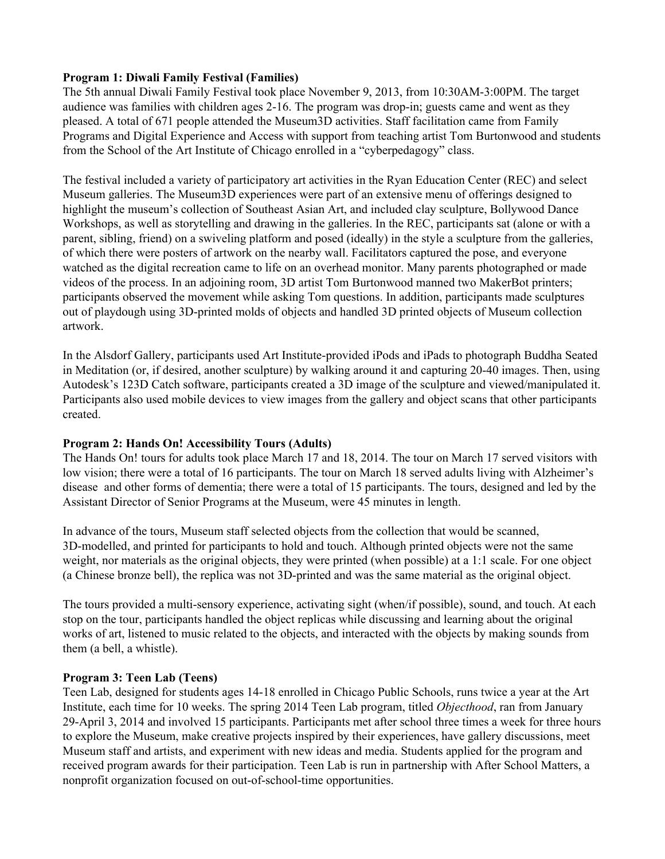## **Program 1: Diwali Family Festival (Families)**

The 5th annual Diwali Family Festival took place November 9, 2013, from 10:30AM3:00PM. The target audience was families with children ages 2-16. The program was drop-in; guests came and went as they pleased. A total of 671 people attended the Museum3D activities. Staff facilitation came from Family Programs and Digital Experience and Access with support from teaching artist Tom Burtonwood and students from the School of the Art Institute of Chicago enrolled in a "cyberpedagogy" class.

The festival included a variety of participatory art activities in the Ryan Education Center (REC) and select Museum galleries. The Museum3D experiences were part of an extensive menu of offerings designed to highlight the museum's collection of Southeast Asian Art, and included clay sculpture, Bollywood Dance Workshops, as well as storytelling and drawing in the galleries. In the REC, participants sat (alone or with a parent, sibling, friend) on a swiveling platform and posed (ideally) in the style a sculpture from the galleries, of which there were posters of artwork on the nearby wall. Facilitators captured the pose, and everyone watched as the digital recreation came to life on an overhead monitor. Many parents photographed or made videos of the process. In an adjoining room, 3D artist Tom Burtonwood manned two MakerBot printers; participants observed the movement while asking Tom questions. In addition, participants made sculptures out of playdough using 3D-printed molds of objects and handled 3D printed objects of Museum collection artwork.

In the Alsdorf Gallery, participants used Art Institute-provided iPods and iPads to photograph Buddha Seated in Meditation (or, if desired, another sculpture) by walking around it and capturing 2040 images. Then, using Autodesk's 123D Catch software, participants created a 3D image of the sculpture and viewed/manipulated it. Participants also used mobile devices to view images from the gallery and object scans that other participants created.

## **Program 2: Hands On! Accessibility Tours (Adults)**

The Hands On! tours for adults took place March 17 and 18, 2014. The tour on March 17 served visitors with low vision; there were a total of 16 participants. The tour on March 18 served adults living with Alzheimer's disease and other forms of dementia; there were a total of 15 participants. The tours, designed and led by the Assistant Director of Senior Programs at the Museum, were 45 minutes in length.

In advance of the tours, Museum staff selected objects from the collection that would be scanned, 3D-modelled, and printed for participants to hold and touch. Although printed objects were not the same weight, nor materials as the original objects, they were printed (when possible) at a 1:1 scale. For one object (a Chinese bronze bell), the replica was not 3D-printed and was the same material as the original object.

The tours provided a multi-sensory experience, activating sight (when/if possible), sound, and touch. At each stop on the tour, participants handled the object replicas while discussing and learning about the original works of art, listened to music related to the objects, and interacted with the objects by making sounds from them (a bell, a whistle).

## **Program 3: Teen Lab (Teens)**

Teen Lab, designed for students ages 1418 enrolled in Chicago Public Schools, runs twice a year at the Art Institute, each time for 10 weeks. The spring 2014 Teen Lab program, titled *Objecthood*, ran from January 29April 3, 2014 and involved 15 participants. Participants met after school three times a week for three hours to explore the Museum, make creative projects inspired by their experiences, have gallery discussions, meet Museum staff and artists, and experiment with new ideas and media. Students applied for the program and received program awards for their participation. Teen Lab is run in partnership with After School Matters, a nonprofit organization focused on out-of-school-time opportunities.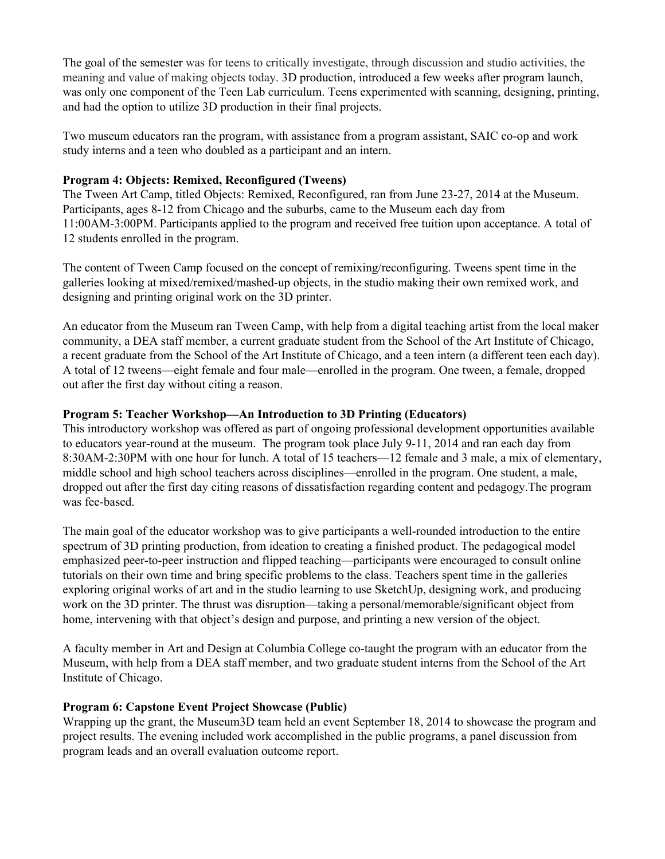The goal of the semester was for teens to critically investigate, through discussion and studio activities, the meaning and value of making objects today. 3D production, introduced a few weeks after program launch, was only one component of the Teen Lab curriculum. Teens experimented with scanning, designing, printing, and had the option to utilize 3D production in their final projects.

Two museum educators ran the program, with assistance from a program assistant, SAIC co-op and work study interns and a teen who doubled as a participant and an intern.

#### **Program 4: Objects: Remixed, Reconfigured (Tweens)**

The Tween Art Camp, titled Objects: Remixed, Reconfigured, ran from June 23-27, 2014 at the Museum. Participants, ages 812 from Chicago and the suburbs, came to the Museum each day from 11:00AM3:00PM. Participants applied to the program and received free tuition upon acceptance. A total of 12 students enrolled in the program.

The content of Tween Camp focused on the concept of remixing/reconfiguring. Tweens spent time in the galleries looking at mixed/remixed/mashed-up objects, in the studio making their own remixed work, and designing and printing original work on the 3D printer.

An educator from the Museum ran Tween Camp, with help from a digital teaching artist from the local maker community, a DEA staff member, a current graduate student from the School of the Art Institute of Chicago, a recent graduate from the School of the Art Institute of Chicago, and a teen intern (a different teen each day). A total of 12 tweens—eight female and four male—enrolled in the program. One tween, a female, dropped out after the first day without citing a reason.

#### **Program 5: Teacher Workshop—An Introduction to 3D Printing (Educators)**

This introductory workshop was offered as part of ongoing professional development opportunities available to educators year-round at the museum. The program took place July 9-11, 2014 and ran each day from 8:30AM2:30PM with one hour for lunch. A total of 15 teachers—12 female and 3 male, a mix of elementary, middle school and high school teachers across disciplines—enrolled in the program. One student, a male, dropped out after the first day citing reasons of dissatisfaction regarding content and pedagogy.The program was fee-based.

The main goal of the educator workshop was to give participants a well-rounded introduction to the entire spectrum of 3D printing production, from ideation to creating a finished product. The pedagogical model emphasized peer-to-peer instruction and flipped teaching—participants were encouraged to consult online tutorials on their own time and bring specific problems to the class. Teachers spent time in the galleries exploring original works of art and in the studio learning to use SketchUp, designing work, and producing work on the 3D printer. The thrust was disruption—taking a personal/memorable/significant object from home, intervening with that object's design and purpose, and printing a new version of the object.

A faculty member in Art and Design at Columbia College cotaught the program with an educator from the Museum, with help from a DEA staff member, and two graduate student interns from the School of the Art Institute of Chicago.

#### **Program 6: Capstone Event Project Showcase (Public)**

Wrapping up the grant, the Museum3D team held an event September 18, 2014 to showcase the program and project results. The evening included work accomplished in the public programs, a panel discussion from program leads and an overall evaluation outcome report.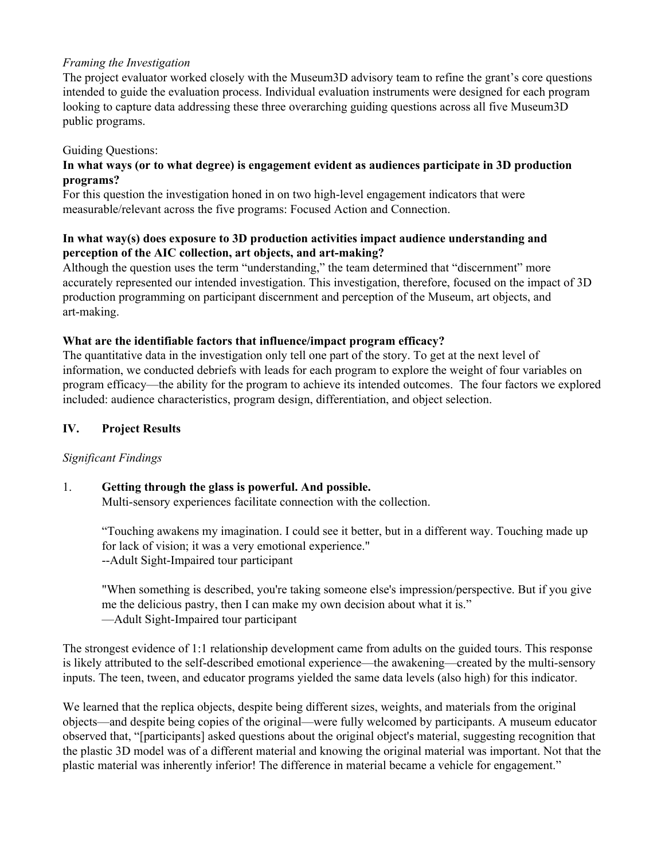#### *Framing the Investigation*

The project evaluator worked closely with the Museum3D advisory team to refine the grant's core questions intended to guide the evaluation process. Individual evaluation instruments were designed for each program looking to capture data addressing these three overarching guiding questions across all five Museum3D public programs.

#### Guiding Questions:

## **In what ways (or to what degree) is engagement evident as audiences participate in 3D production programs?**

For this question the investigation honed in on two high-level engagement indicators that were measurable/relevant across the five programs: Focused Action and Connection.

## **In what way(s) does exposure to 3D production activities impact audience understanding and perception** of the AIC collection, art objects, and art-making?

Although the question uses the term "understanding," the team determined that "discernment" more accurately represented our intended investigation. This investigation, therefore, focused on the impact of 3D production programming on participant discernment and perception of the Museum, art objects, and art-making.

#### **What are the identifiable factors that influence/impact program efficacy?**

The quantitative data in the investigation only tell one part of the story. To get at the next level of information, we conducted debriefs with leads for each program to explore the weight of four variables on program efficacy—the ability for the program to achieve its intended outcomes. The four factors we explored included: audience characteristics, program design, differentiation, and object selection.

#### **IV. Project Results**

#### *Significant Findings*

## 1. **Getting through the glass is powerful. And possible.**

Multi-sensory experiences facilitate connection with the collection.

"Touching awakens my imagination. I could see it better, but in a different way. Touching made up for lack of vision; it was a very emotional experience." --Adult Sight-Impaired tour participant

"When something is described, you're taking someone else's impression/perspective. But if you give me the delicious pastry, then I can make my own decision about what it is." —Adult Sight-Impaired tour participant

The strongest evidence of 1:1 relationship development came from adults on the guided tours. This response is likely attributed to the self-described emotional experience—the awakening—created by the multi-sensory inputs. The teen, tween, and educator programs yielded the same data levels (also high) for this indicator.

We learned that the replica objects, despite being different sizes, weights, and materials from the original objects—and despite being copies of the original—were fully welcomed by participants. A museum educator observed that, "[participants] asked questions about the original object's material, suggesting recognition that the plastic 3D model was of a different material and knowing the original material was important. Not that the plastic material was inherently inferior! The difference in material became a vehicle for engagement."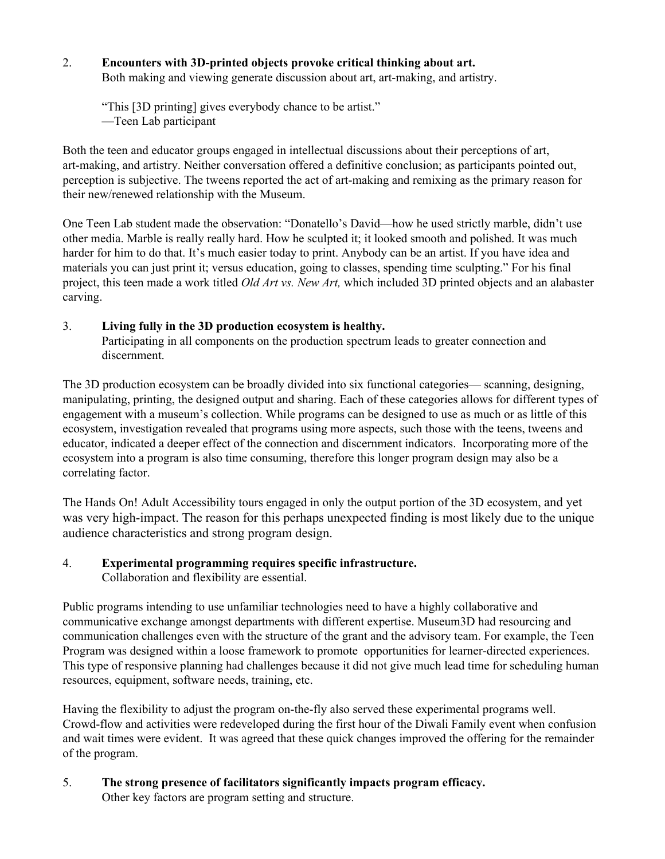# 2. **Encounters** with 3D-printed objects provoke critical thinking about art.

Both making and viewing generate discussion about art, art-making, and artistry.

"This [3D printing] gives everybody chance to be artist." —Teen Lab participant

Both the teen and educator groups engaged in intellectual discussions about their perceptions of art, art-making, and artistry. Neither conversation offered a definitive conclusion; as participants pointed out, perception is subjective. The tweens reported the act of art-making and remixing as the primary reason for their new/renewed relationship with the Museum.

One Teen Lab student made the observation: "Donatello's David—how he used strictly marble, didn't use other media. Marble is really really hard. How he sculpted it; it looked smooth and polished. It was much harder for him to do that. It's much easier today to print. Anybody can be an artist. If you have idea and materials you can just print it; versus education, going to classes, spending time sculpting." For his final project, this teen made a work titled *Old Art vs. New Art,* which included 3D printed objects and an alabaster carving.

## 3. **Living fully in the 3D production ecosystem is healthy.**

Participating in all components on the production spectrum leads to greater connection and discernment.

The 3D production ecosystem can be broadly divided into six functional categories— scanning, designing, manipulating, printing, the designed output and sharing. Each of these categories allows for different types of engagement with a museum's collection. While programs can be designed to use as much or as little of this ecosystem, investigation revealed that programs using more aspects, such those with the teens, tweens and educator, indicated a deeper effect of the connection and discernment indicators. Incorporating more of the ecosystem into a program is also time consuming, therefore this longer program design may also be a correlating factor.

The Hands On! Adult Accessibility tours engaged in only the output portion of the 3D ecosystem, and yet was very high-impact. The reason for this perhaps unexpected finding is most likely due to the unique audience characteristics and strong program design.

## 4. **Experimental programming requires specific infrastructure.** Collaboration and flexibility are essential.

Public programs intending to use unfamiliar technologies need to have a highly collaborative and communicative exchange amongst departments with different expertise. Museum3D had resourcing and communication challenges even with the structure of the grant and the advisory team. For example, the Teen Program was designed within a loose framework to promote opportunities for learner-directed experiences. This type of responsive planning had challenges because it did not give much lead time for scheduling human resources, equipment, software needs, training, etc.

Having the flexibility to adjust the program on-the-fly also served these experimental programs well. Crowd-flow and activities were redeveloped during the first hour of the Diwali Family event when confusion and wait times were evident. It was agreed that these quick changes improved the offering for the remainder of the program.

# 5. **The strong presence of facilitators significantly impacts program efficacy.**

Other key factors are program setting and structure.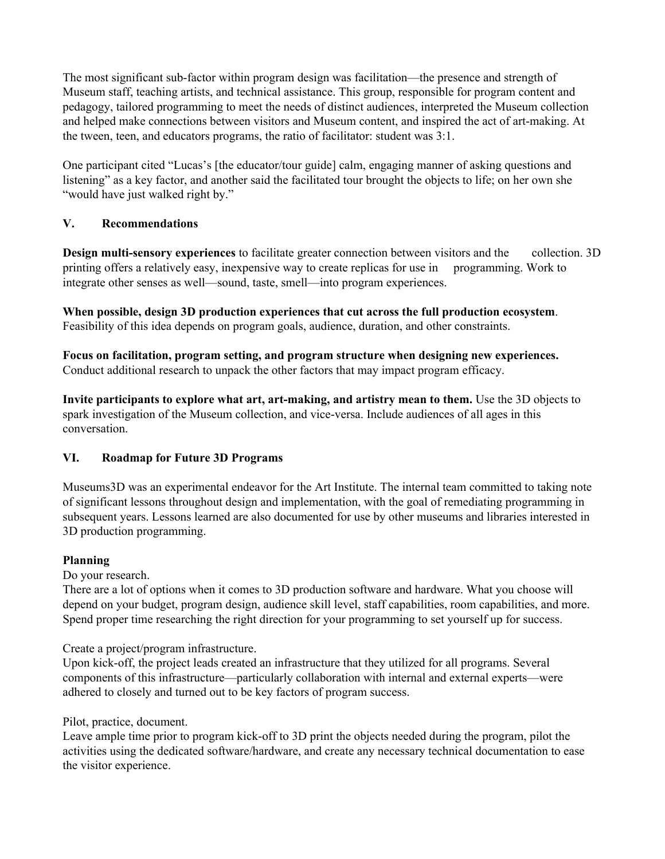The most significant sub-factor within program design was facilitation—the presence and strength of Museum staff, teaching artists, and technical assistance. This group, responsible for program content and pedagogy, tailored programming to meet the needs of distinct audiences, interpreted the Museum collection and helped make connections between visitors and Museum content, and inspired the act of art-making. At the tween, teen, and educators programs, the ratio of facilitator: student was 3:1.

One participant cited "Lucas's [the educator/tour guide] calm, engaging manner of asking questions and listening" as a key factor, and another said the facilitated tour brought the objects to life; on her own she "would have just walked right by."

# **V. Recommendations**

**Design multi-sensory experiences** to facilitate greater connection between visitors and the collection. 3D printing offers a relatively easy, inexpensive way to create replicas for use in programming. Work to integrate other senses as well—sound, taste, smell—into program experiences.

**When possible, design 3D production experiences that cut across the full production ecosystem**. Feasibility of this idea depends on program goals, audience, duration, and other constraints.

**Focus on facilitation, program setting, and program structure when designing new experiences.** Conduct additional research to unpack the other factors that may impact program efficacy.

**Invite participants to explore what art, artmaking, and artistry mean to them.** Use the 3D objects to spark investigation of the Museum collection, and vice-versa. Include audiences of all ages in this conversation.

## **VI. Roadmap for Future 3D Programs**

Museums3D was an experimental endeavor for the Art Institute. The internal team committed to taking note of significant lessons throughout design and implementation, with the goal of remediating programming in subsequent years. Lessons learned are also documented for use by other museums and libraries interested in 3D production programming.

## **Planning**

Do your research.

There are a lot of options when it comes to 3D production software and hardware. What you choose will depend on your budget, program design, audience skill level, staff capabilities, room capabilities, and more. Spend proper time researching the right direction for your programming to set yourself up for success.

Create a project/program infrastructure.

Upon kick-off, the project leads created an infrastructure that they utilized for all programs. Several components of this infrastructure—particularly collaboration with internal and external experts—were adhered to closely and turned out to be key factors of program success.

Pilot, practice, document.

Leave ample time prior to program kick-off to 3D print the objects needed during the program, pilot the activities using the dedicated software/hardware, and create any necessary technical documentation to ease the visitor experience.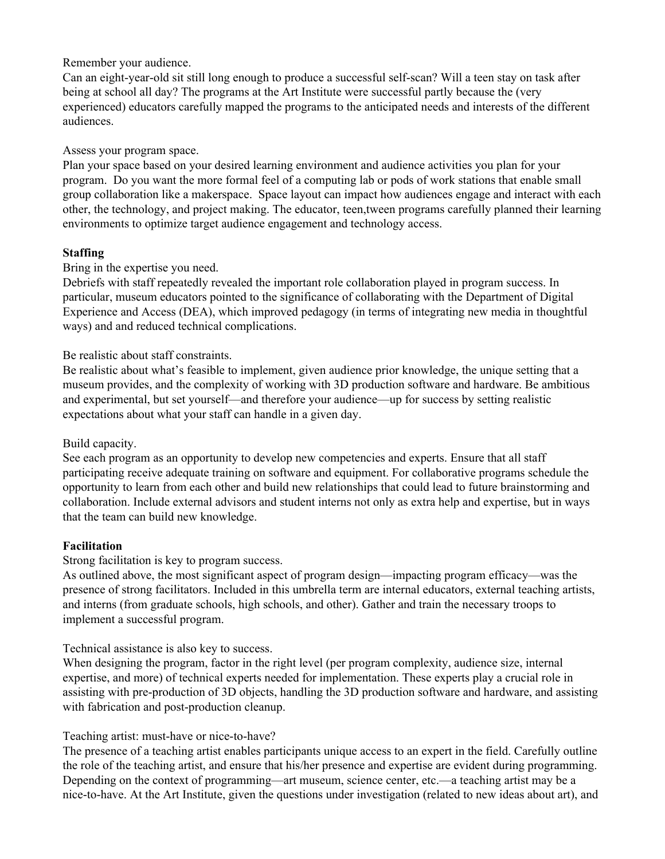Remember your audience.

Can an eight-year-old sit still long enough to produce a successful self-scan? Will a teen stay on task after being at school all day? The programs at the Art Institute were successful partly because the (very experienced) educators carefully mapped the programs to the anticipated needs and interests of the different audiences.

## Assess your program space.

Plan your space based on your desired learning environment and audience activities you plan for your program. Do you want the more formal feel of a computing lab or pods of work stations that enable small group collaboration like a makerspace. Space layout can impact how audiences engage and interact with each other, the technology, and project making. The educator, teen,tween programs carefully planned their learning environments to optimize target audience engagement and technology access.

# **Staffing**

Bring in the expertise you need.

Debriefs with staff repeatedly revealed the important role collaboration played in program success. In particular, museum educators pointed to the significance of collaborating with the Department of Digital Experience and Access (DEA), which improved pedagogy (in terms of integrating new media in thoughtful ways) and and reduced technical complications.

## Be realistic about staff constraints.

Be realistic about what's feasible to implement, given audience prior knowledge, the unique setting that a museum provides, and the complexity of working with 3D production software and hardware. Be ambitious and experimental, but set yourself—and therefore your audience—up for success by setting realistic expectations about what your staff can handle in a given day.

## Build capacity.

See each program as an opportunity to develop new competencies and experts. Ensure that all staff participating receive adequate training on software and equipment. For collaborative programs schedule the opportunity to learn from each other and build new relationships that could lead to future brainstorming and collaboration. Include external advisors and student interns not only as extra help and expertise, but in ways that the team can build new knowledge.

## **Facilitation**

Strong facilitation is key to program success.

As outlined above, the most significant aspect of program design—impacting program efficacy—was the presence of strong facilitators. Included in this umbrella term are internal educators, external teaching artists, and interns (from graduate schools, high schools, and other). Gather and train the necessary troops to implement a successful program.

Technical assistance is also key to success.

When designing the program, factor in the right level (per program complexity, audience size, internal expertise, and more) of technical experts needed for implementation. These experts play a crucial role in assisting with pre-production of 3D objects, handling the 3D production software and hardware, and assisting with fabrication and post-production cleanup.

## Teaching artist: must-have or nice-to-have?

The presence of a teaching artist enables participants unique access to an expert in the field. Carefully outline the role of the teaching artist, and ensure that his/her presence and expertise are evident during programming. Depending on the context of programming—art museum, science center, etc.—a teaching artist may be a nice-to-have. At the Art Institute, given the questions under investigation (related to new ideas about art), and